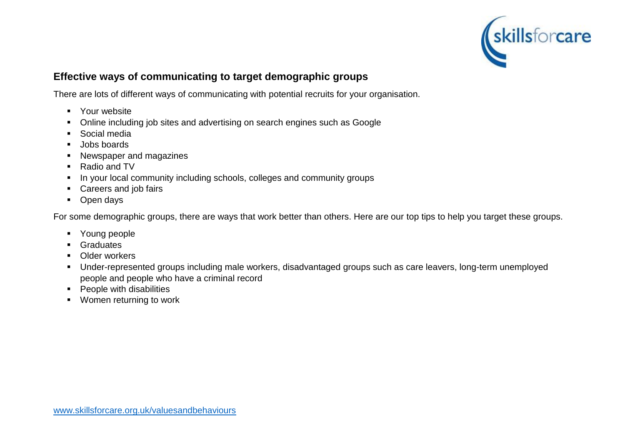

## **Effective ways of communicating to target demographic groups**

There are lots of different ways of communicating with potential recruits for your organisation.

- **•** Your website
- Online including job sites and advertising on search engines such as Google
- **Social media**
- **Jobs boards**
- Newspaper and magazines
- Radio and TV
- In your local community including schools, colleges and community groups
- **Careers and job fairs**
- Open days

For some demographic groups, there are ways that work better than others. Here are our top tips to help you target these groups.

- Young people
- **Graduates**
- **-** Older workers
- Under-represented groups including male workers, disadvantaged groups such as care leavers, long-term unemployed people and people who have a criminal record
- **People with disabilities**
- **Women returning to work**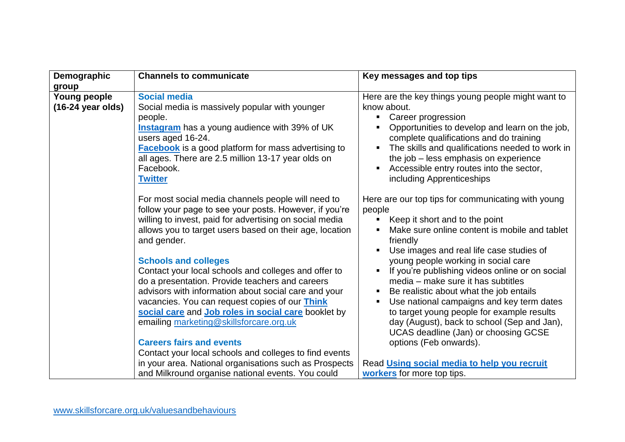| Demographic                                          | <b>Channels to communicate</b>                                                                                                                                                                                                                                                                                                                                                                                                                                                                                                                                                                                                                                                                              | Key messages and top tips                                                                                                                                                                                                                                                                                                                                                                                                                                                                                                                                                                                             |
|------------------------------------------------------|-------------------------------------------------------------------------------------------------------------------------------------------------------------------------------------------------------------------------------------------------------------------------------------------------------------------------------------------------------------------------------------------------------------------------------------------------------------------------------------------------------------------------------------------------------------------------------------------------------------------------------------------------------------------------------------------------------------|-----------------------------------------------------------------------------------------------------------------------------------------------------------------------------------------------------------------------------------------------------------------------------------------------------------------------------------------------------------------------------------------------------------------------------------------------------------------------------------------------------------------------------------------------------------------------------------------------------------------------|
| group<br>Young people<br>$(16-24 \text{ year}$ olds) | <b>Social media</b><br>Social media is massively popular with younger<br>people.<br>Instagram has a young audience with 39% of UK<br>users aged 16-24.<br><b>Facebook</b> is a good platform for mass advertising to<br>all ages. There are 2.5 million 13-17 year olds on<br>Facebook.<br><b>Twitter</b>                                                                                                                                                                                                                                                                                                                                                                                                   | Here are the key things young people might want to<br>know about.<br>Career progression<br>Opportunities to develop and learn on the job,<br>complete qualifications and do training<br>The skills and qualifications needed to work in<br>the job - less emphasis on experience<br>Accessible entry routes into the sector,<br>including Apprenticeships                                                                                                                                                                                                                                                             |
|                                                      | For most social media channels people will need to<br>follow your page to see your posts. However, if you're<br>willing to invest, paid for advertising on social media<br>allows you to target users based on their age, location<br>and gender.<br><b>Schools and colleges</b><br>Contact your local schools and colleges and offer to<br>do a presentation. Provide teachers and careers<br>advisors with information about social care and your<br>vacancies. You can request copies of our <b>Think</b><br>social care and Job roles in social care booklet by<br>emailing marketing@skillsforcare.org.uk<br><b>Careers fairs and events</b><br>Contact your local schools and colleges to find events | Here are our top tips for communicating with young<br>people<br>Keep it short and to the point<br>$\blacksquare$<br>Make sure online content is mobile and tablet<br>friendly<br>Use images and real life case studies of<br>young people working in social care<br>If you're publishing videos online or on social<br>media – make sure it has subtitles<br>Be realistic about what the job entails<br>п<br>Use national campaigns and key term dates<br>to target young people for example results<br>day (August), back to school (Sep and Jan),<br>UCAS deadline (Jan) or choosing GCSE<br>options (Feb onwards). |
|                                                      | in your area. National organisations such as Prospects<br>and Milkround organise national events. You could                                                                                                                                                                                                                                                                                                                                                                                                                                                                                                                                                                                                 | Read Using social media to help you recruit<br>workers for more top tips.                                                                                                                                                                                                                                                                                                                                                                                                                                                                                                                                             |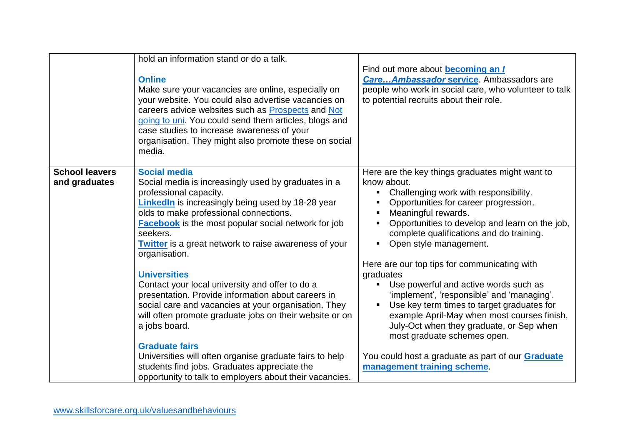|                                        | hold an information stand or do a talk.<br><b>Online</b><br>Make sure your vacancies are online, especially on<br>your website. You could also advertise vacancies on<br>careers advice websites such as Prospects and Not<br>going to uni. You could send them articles, blogs and<br>case studies to increase awareness of your<br>organisation. They might also promote these on social<br>media.                                                                                                                                                                                                                                                                                                                                                                                                                                     | Find out more about <b>becoming an /</b><br>Care Ambassador service. Ambassadors are<br>people who work in social care, who volunteer to talk<br>to potential recruits about their role.                                                                                                                                                                                                                                                                                                                                                                                                                                                                                                                                                        |
|----------------------------------------|------------------------------------------------------------------------------------------------------------------------------------------------------------------------------------------------------------------------------------------------------------------------------------------------------------------------------------------------------------------------------------------------------------------------------------------------------------------------------------------------------------------------------------------------------------------------------------------------------------------------------------------------------------------------------------------------------------------------------------------------------------------------------------------------------------------------------------------|-------------------------------------------------------------------------------------------------------------------------------------------------------------------------------------------------------------------------------------------------------------------------------------------------------------------------------------------------------------------------------------------------------------------------------------------------------------------------------------------------------------------------------------------------------------------------------------------------------------------------------------------------------------------------------------------------------------------------------------------------|
| <b>School leavers</b><br>and graduates | <b>Social media</b><br>Social media is increasingly used by graduates in a<br>professional capacity.<br><b>LinkedIn</b> is increasingly being used by 18-28 year<br>olds to make professional connections.<br><b>Facebook</b> is the most popular social network for job<br>seekers.<br><b>Twitter</b> is a great network to raise awareness of your<br>organisation.<br><b>Universities</b><br>Contact your local university and offer to do a<br>presentation. Provide information about careers in<br>social care and vacancies at your organisation. They<br>will often promote graduate jobs on their website or on<br>a jobs board.<br><b>Graduate fairs</b><br>Universities will often organise graduate fairs to help<br>students find jobs. Graduates appreciate the<br>opportunity to talk to employers about their vacancies. | Here are the key things graduates might want to<br>know about.<br>Challenging work with responsibility.<br>٠<br>Opportunities for career progression.<br>Meaningful rewards.<br>п<br>Opportunities to develop and learn on the job,<br>п<br>complete qualifications and do training.<br>Open style management.<br>٠<br>Here are our top tips for communicating with<br>graduates<br>Use powerful and active words such as<br>'implement', 'responsible' and 'managing'.<br>Use key term times to target graduates for<br>Е<br>example April-May when most courses finish,<br>July-Oct when they graduate, or Sep when<br>most graduate schemes open.<br>You could host a graduate as part of our <b>Graduate</b><br>management training scheme. |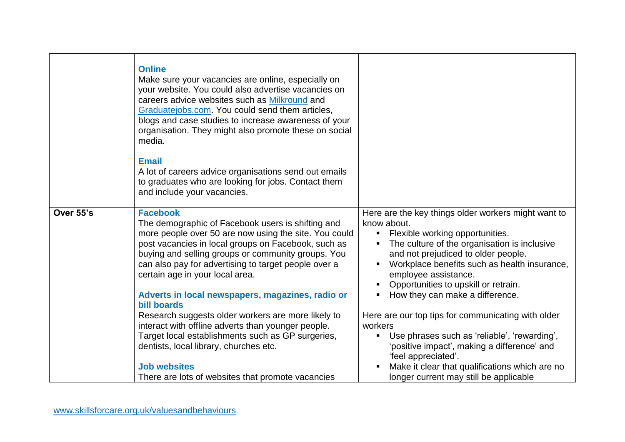|           | <b>Online</b><br>Make sure your vacancies are online, especially on<br>your website. You could also advertise vacancies on<br>careers advice websites such as Milkround and<br>Graduatejobs.com. You could send them articles,<br>blogs and case studies to increase awareness of your<br>organisation. They might also promote these on social<br>media.<br><b>Email</b>                                       |                                                                                                                                                                                                                                                                                                                                                                             |
|-----------|-----------------------------------------------------------------------------------------------------------------------------------------------------------------------------------------------------------------------------------------------------------------------------------------------------------------------------------------------------------------------------------------------------------------|-----------------------------------------------------------------------------------------------------------------------------------------------------------------------------------------------------------------------------------------------------------------------------------------------------------------------------------------------------------------------------|
|           | A lot of careers advice organisations send out emails<br>to graduates who are looking for jobs. Contact them<br>and include your vacancies.                                                                                                                                                                                                                                                                     |                                                                                                                                                                                                                                                                                                                                                                             |
| Over 55's | <b>Facebook</b><br>The demographic of Facebook users is shifting and<br>more people over 50 are now using the site. You could<br>post vacancies in local groups on Facebook, such as<br>buying and selling groups or community groups. You<br>can also pay for advertising to target people over a<br>certain age in your local area.<br>Adverts in local newspapers, magazines, radio or<br><b>bill boards</b> | Here are the key things older workers might want to<br>know about.<br>Flexible working opportunities.<br>$\blacksquare$<br>The culture of the organisation is inclusive<br>and not prejudiced to older people.<br>Workplace benefits such as health insurance,<br>employee assistance.<br>Opportunities to upskill or retrain.<br>п<br>How they can make a difference.<br>п |
|           | Research suggests older workers are more likely to<br>interact with offline adverts than younger people.<br>Target local establishments such as GP surgeries,<br>dentists, local library, churches etc.                                                                                                                                                                                                         | Here are our top tips for communicating with older<br>workers<br>Use phrases such as 'reliable', 'rewarding',<br>'positive impact', making a difference' and<br>'feel appreciated'.                                                                                                                                                                                         |
|           | <b>Job websites</b><br>There are lots of websites that promote vacancies                                                                                                                                                                                                                                                                                                                                        | Make it clear that qualifications which are no<br>longer current may still be applicable                                                                                                                                                                                                                                                                                    |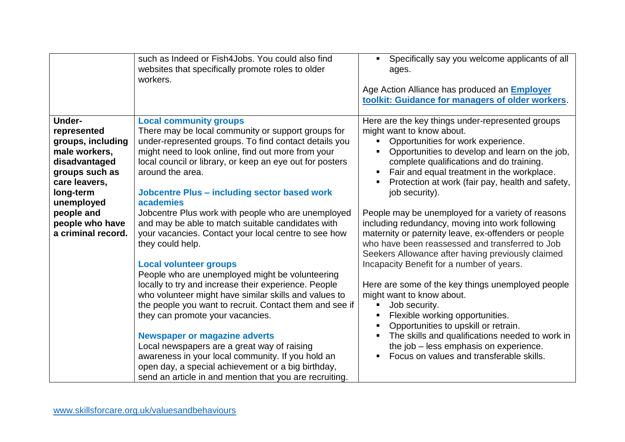|                                                                                                                                                                                                          | such as Indeed or Fish4Jobs. You could also find<br>websites that specifically promote roles to older<br>workers.                                                                                                                                                                                                                                                                                                                                                                                                                                                                                                                                                                                                                                                                                                                                                                                                                                                                      | Specifically say you welcome applicants of all<br>ages.<br>Age Action Alliance has produced an <b>Employer</b><br>toolkit: Guidance for managers of older workers.                                                                                                                                                                                                                                                                                                                                                                                                                                                                                                                                                                                                                                                                                                                                                                                                                 |
|----------------------------------------------------------------------------------------------------------------------------------------------------------------------------------------------------------|----------------------------------------------------------------------------------------------------------------------------------------------------------------------------------------------------------------------------------------------------------------------------------------------------------------------------------------------------------------------------------------------------------------------------------------------------------------------------------------------------------------------------------------------------------------------------------------------------------------------------------------------------------------------------------------------------------------------------------------------------------------------------------------------------------------------------------------------------------------------------------------------------------------------------------------------------------------------------------------|------------------------------------------------------------------------------------------------------------------------------------------------------------------------------------------------------------------------------------------------------------------------------------------------------------------------------------------------------------------------------------------------------------------------------------------------------------------------------------------------------------------------------------------------------------------------------------------------------------------------------------------------------------------------------------------------------------------------------------------------------------------------------------------------------------------------------------------------------------------------------------------------------------------------------------------------------------------------------------|
| <b>Under-</b><br>represented<br>groups, including<br>male workers,<br>disadvantaged<br>groups such as<br>care leavers,<br>long-term<br>unemployed<br>people and<br>people who have<br>a criminal record. | <b>Local community groups</b><br>There may be local community or support groups for<br>under-represented groups. To find contact details you<br>might need to look online, find out more from your<br>local council or library, or keep an eye out for posters<br>around the area.<br>Jobcentre Plus - including sector based work<br>academies<br>Jobcentre Plus work with people who are unemployed<br>and may be able to match suitable candidates with<br>your vacancies. Contact your local centre to see how<br>they could help.<br><b>Local volunteer groups</b><br>People who are unemployed might be volunteering<br>locally to try and increase their experience. People<br>who volunteer might have similar skills and values to<br>the people you want to recruit. Contact them and see if<br>they can promote your vacancies.<br><b>Newspaper or magazine adverts</b><br>Local newspapers are a great way of raising<br>awareness in your local community. If you hold an | Here are the key things under-represented groups<br>might want to know about.<br>Opportunities for work experience.<br>Opportunities to develop and learn on the job,<br>complete qualifications and do training.<br>Fair and equal treatment in the workplace.<br>Protection at work (fair pay, health and safety,<br>job security).<br>People may be unemployed for a variety of reasons<br>including redundancy, moving into work following<br>maternity or paternity leave, ex-offenders or people<br>who have been reassessed and transferred to Job<br>Seekers Allowance after having previously claimed<br>Incapacity Benefit for a number of years.<br>Here are some of the key things unemployed people<br>might want to know about.<br>Job security.<br>Flexible working opportunities.<br>Opportunities to upskill or retrain.<br>The skills and qualifications needed to work in<br>the job - less emphasis on experience.<br>Focus on values and transferable skills. |
|                                                                                                                                                                                                          | open day, a special achievement or a big birthday,<br>send an article in and mention that you are recruiting.                                                                                                                                                                                                                                                                                                                                                                                                                                                                                                                                                                                                                                                                                                                                                                                                                                                                          |                                                                                                                                                                                                                                                                                                                                                                                                                                                                                                                                                                                                                                                                                                                                                                                                                                                                                                                                                                                    |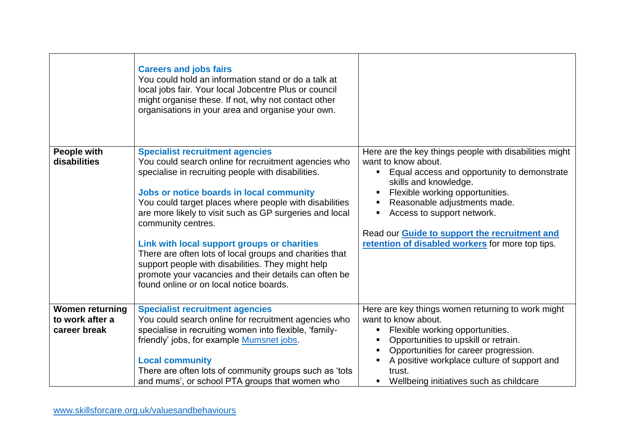|                                                           | <b>Careers and jobs fairs</b><br>You could hold an information stand or do a talk at<br>local jobs fair. Your local Jobcentre Plus or council<br>might organise these. If not, why not contact other<br>organisations in your area and organise your own.                                                                                                                                                                                                                                                                                                                                                      |                                                                                                                                                                                                                                                                                                                                                                                   |
|-----------------------------------------------------------|----------------------------------------------------------------------------------------------------------------------------------------------------------------------------------------------------------------------------------------------------------------------------------------------------------------------------------------------------------------------------------------------------------------------------------------------------------------------------------------------------------------------------------------------------------------------------------------------------------------|-----------------------------------------------------------------------------------------------------------------------------------------------------------------------------------------------------------------------------------------------------------------------------------------------------------------------------------------------------------------------------------|
| <b>People with</b><br>disabilities                        | <b>Specialist recruitment agencies</b><br>You could search online for recruitment agencies who<br>specialise in recruiting people with disabilities.<br>Jobs or notice boards in local community<br>You could target places where people with disabilities<br>are more likely to visit such as GP surgeries and local<br>community centres.<br>Link with local support groups or charities<br>There are often lots of local groups and charities that<br>support people with disabilities. They might help<br>promote your vacancies and their details can often be<br>found online or on local notice boards. | Here are the key things people with disabilities might<br>want to know about.<br>Equal access and opportunity to demonstrate<br>п<br>skills and knowledge.<br>Flexible working opportunities.<br>Е<br>Reasonable adjustments made.<br>Е<br>Access to support network.<br>Read our <b>Guide to support the recruitment and</b><br>retention of disabled workers for more top tips. |
| <b>Women returning</b><br>to work after a<br>career break | <b>Specialist recruitment agencies</b><br>You could search online for recruitment agencies who<br>specialise in recruiting women into flexible, 'family-<br>friendly' jobs, for example Mumsnet jobs.<br><b>Local community</b><br>There are often lots of community groups such as 'tots<br>and mums', or school PTA groups that women who                                                                                                                                                                                                                                                                    | Here are key things women returning to work might<br>want to know about.<br>Flexible working opportunities.<br>П<br>Opportunities to upskill or retrain.<br>п<br>Opportunities for career progression.<br>٠<br>A positive workplace culture of support and<br>trust.<br>Wellbeing initiatives such as childcare<br>٠                                                              |